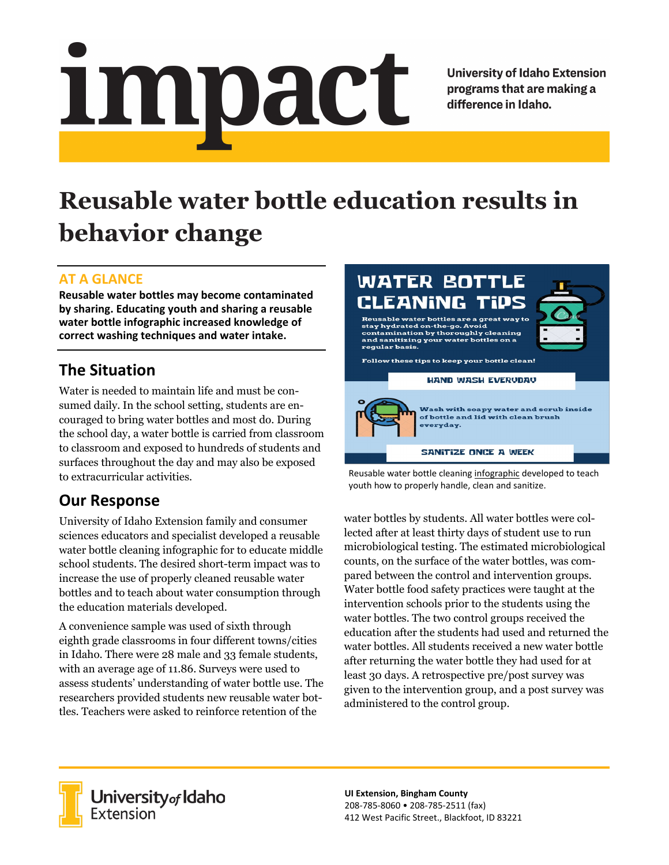# <u>impact</u>

**University of Idaho Extension** programs that are making a difference in Idaho.

# **Reusable water bottle education results in behavior change**

## **AT A GLANCE**

**Reusable water bottles may become contaminated by sharing. Educating youth and sharing a reusable water bottle infographic increased knowledge of correct washing techniques and water intake.**

# **The Situation**

Water is needed to maintain life and must be consumed daily. In the school setting, students are encouraged to bring water bottles and most do. During the school day, a water bottle is carried from classroom to classroom and exposed to hundreds of students and surfaces throughout the day and may also be exposed to extracurricular activities.

# **Our Response**

University of Idaho Extension family and consumer sciences educators and specialist developed a reusable water bottle cleaning infographic for to educate middle school students. The desired short-term impact was to increase the use of properly cleaned reusable water bottles and to teach about water consumption through the education materials developed.

A convenience sample was used of sixth through eighth grade classrooms in four different towns/cities in Idaho. There were 28 male and 33 female students, with an average age of 11.86. Surveys were used to assess students' understanding of water bottle use. The researchers provided students new reusable water bottles. Teachers were asked to reinforce retention of the



Reusable water bottle cleanin[g infographic](https://vandalsuidaho-my.sharepoint.com/:i:/r/personal/jhbuck_uidaho_edu/Documents/Water%20Bottle%20Study/Study%20Documents/Info%20graphic/Water%20Bottle%20Cleaning%20Tips.jpg?csf=1&web=1&e=c9daRu) developed to teach youth how to properly handle, clean and sanitize.

water bottles by students. All water bottles were collected after at least thirty days of student use to run microbiological testing. The estimated microbiological counts, on the surface of the water bottles, was compared between the control and intervention groups. Water bottle food safety practices were taught at the intervention schools prior to the students using the water bottles. The two control groups received the education after the students had used and returned the water bottles. All students received a new water bottle after returning the water bottle they had used for at least 30 days. A retrospective pre/post survey was given to the intervention group, and a post survey was administered to the control group.



**UI Extension, Bingham County** 208-785-8060 • 208-785-2511 (fax) 412 West Pacific Street., Blackfoot, ID 83221